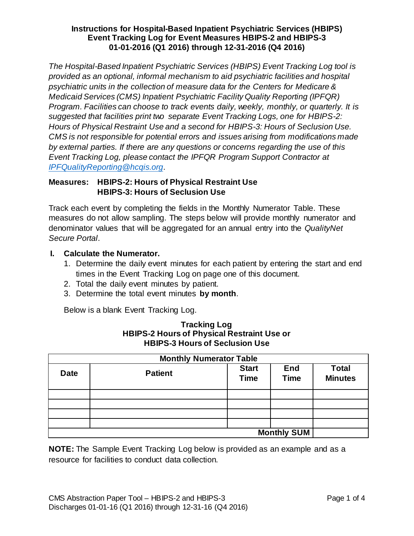*The Hospital-Based Inpatient Psychiatric Services (HBIPS) Event Tracking Log tool is provided as an optional, informal mechanism to aid psychiatric facilities and hospital psychiatric units in the collection of measure data for the Centers for Medicare & Medicaid Services (CMS) Inpatient Psychiatric Facility Quality Reporting (IPFQR) Program. Facilities can choose to track events daily, weekly, monthly, or quarterly. It is suggested that facilities print two separate Event Tracking Logs, one for HBIPS-2: Hours of Physical Restraint Use and a second for HBIPS-3: Hours of Seclusion Use. CMS is not responsible for potential errors and issues arising from modifications made by external parties. If there are any questions or concerns regarding the use of this Event Tracking Log, please contact the IPFQR Program Support Contractor at [IPFQualityReporting@hcqis.org](mailto:IPFQualityReporting@hcqis.org)*.

# **Measures: HBIPS-2: Hours of Physical Restraint Use HBIPS-3: Hours of Seclusion Use**

Track each event by completing the fields in the Monthly Numerator Table. These measures do not allow sampling. The steps below will provide monthly numerator and denominator values that will be aggregated for an annual entry into the *QualityNet Secure Portal*.

# **I. Calculate the Numerator.**

- 1. Determine the daily event minutes for each patient by entering the start and end times in the Event Tracking Log on page one of this document.
- 2. Total the daily event minutes by patient.
- 3. Determine the total event minutes **by month**.

Below is a blank Event Tracking Log.

| <b>Monthly Numerator Table</b> |                |                             |                           |                                |  |  |
|--------------------------------|----------------|-----------------------------|---------------------------|--------------------------------|--|--|
| <b>Date</b>                    | <b>Patient</b> | <b>Start</b><br><b>Time</b> | <b>End</b><br><b>Time</b> | <b>Total</b><br><b>Minutes</b> |  |  |
|                                |                |                             |                           |                                |  |  |
|                                |                |                             |                           |                                |  |  |
|                                |                |                             |                           |                                |  |  |
|                                |                |                             |                           |                                |  |  |
| <b>Monthly SUM</b>             |                |                             |                           |                                |  |  |

### **Tracking Log HBIPS-2 Hours of Physical Restraint Use or HBIPS-3 Hours of Seclusion Use**

**NOTE:** The Sample Event Tracking Log below is provided as an example and as a resource for facilities to conduct data collection.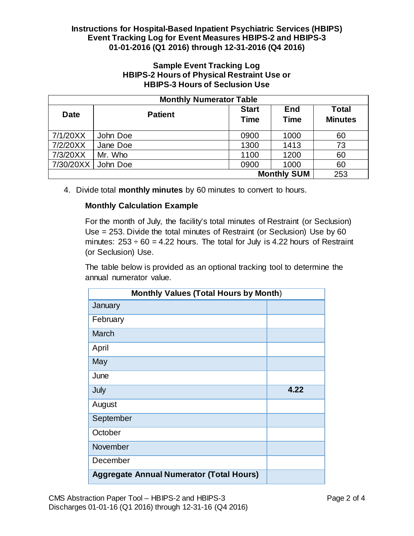## **Sample Event Tracking Log HBIPS-2 Hours of Physical Restraint Use or HBIPS-3 Hours of Seclusion Use**

| <b>Monthly Numerator Table</b> |                |                             |                           |                                |  |  |
|--------------------------------|----------------|-----------------------------|---------------------------|--------------------------------|--|--|
| <b>Date</b>                    | <b>Patient</b> | <b>Start</b><br><b>Time</b> | <b>End</b><br><b>Time</b> | <b>Total</b><br><b>Minutes</b> |  |  |
| 7/1/20XX                       | John Doe       | 0900                        | 1000                      | 60                             |  |  |
| 7/2/20XX                       | Jane Doe       | 1300                        | 1413                      | 73                             |  |  |
| 7/3/20XX                       | Mr. Who        | 1100                        | 1200                      | 60                             |  |  |
| 7/30/20XX                      | John Doe       | 0900                        | 1000                      | 60                             |  |  |
|                                | 253            |                             |                           |                                |  |  |

4. Divide total **monthly minutes** by 60 minutes to convert to hours.

# **Monthly Calculation Example**

For the month of July, the facility's total minutes of Restraint (or Seclusion) Use = 253. Divide the total minutes of Restraint (or Seclusion) Use by 60 minutes:  $253 \div 60 = 4.22$  hours. The total for July is 4.22 hours of Restraint (or Seclusion) Use.

The table below is provided as an optional tracking tool to determine the annual numerator value.

| <b>Monthly Values (Total Hours by Month)</b>    |      |  |  |  |
|-------------------------------------------------|------|--|--|--|
| January                                         |      |  |  |  |
| February                                        |      |  |  |  |
| <b>March</b>                                    |      |  |  |  |
| April                                           |      |  |  |  |
| May                                             |      |  |  |  |
| June                                            |      |  |  |  |
| July                                            | 4.22 |  |  |  |
| August                                          |      |  |  |  |
| September                                       |      |  |  |  |
| October                                         |      |  |  |  |
| November                                        |      |  |  |  |
| December                                        |      |  |  |  |
| <b>Aggregate Annual Numerator (Total Hours)</b> |      |  |  |  |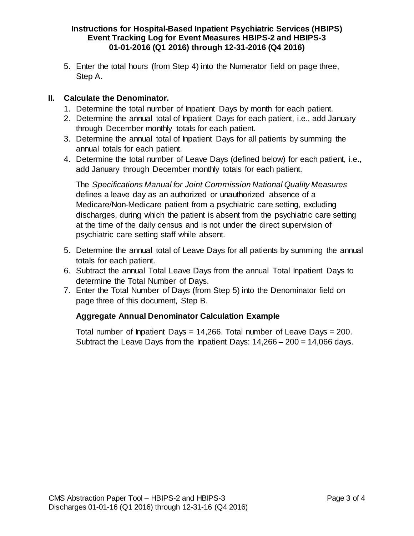5. Enter the total hours (from Step 4) into the Numerator field on page three, Step A.

# **II. Calculate the Denominator.**

- 1. Determine the total number of Inpatient Days by month for each patient.
- 2. Determine the annual total of Inpatient Days for each patient, i.e., add January through December monthly totals for each patient.
- 3. Determine the annual total of Inpatient Days for all patients by summing the annual totals for each patient.
- 4. Determine the total number of Leave Days (defined below) for each patient, i.e., add January through December monthly totals for each patient.

The *Specifications Manual for Joint Commission National Quality Measures*  defines a leave day as an authorized or unauthorized absence of a Medicare/Non-Medicare patient from a psychiatric care setting, excluding discharges, during which the patient is absent from the psychiatric care setting at the time of the daily census and is not under the direct supervision of psychiatric care setting staff while absent.

- 5. Determine the annual total of Leave Days for all patients by summing the annual totals for each patient.
- 6. Subtract the annual Total Leave Days from the annual Total Inpatient Days to determine the Total Number of Days.
- 7. Enter the Total Number of Days (from Step 5) into the Denominator field on page three of this document, Step B.

# **Aggregate Annual Denominator Calculation Example**

Total number of Inpatient Days =  $14,266$ . Total number of Leave Days = 200. Subtract the Leave Days from the Inpatient Days:  $14,266 - 200 = 14,066$  days.